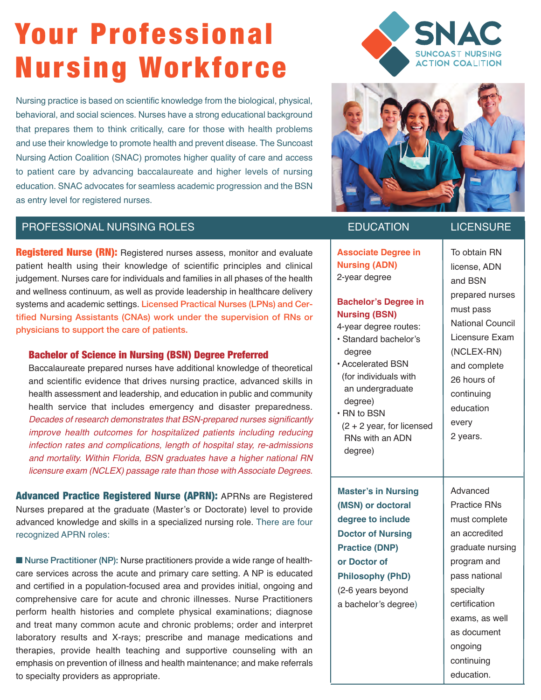# Your Professional Nursing Workforce

Nursing practice is based on scientific knowledge from the biological, physical, behavioral, and social sciences. Nurses have a strong educational background that prepares them to think critically, care for those with health problems and use their knowledge to promote health and prevent disease. The Suncoast Nursing Action Coalition (SNAC) promotes higher quality of care and access to patient care by advancing baccalaureate and higher levels of nursing education. SNAC advocates for seamless academic progression and the BSN as entry level for registered nurses.





**Associate Degree in**

# PROFESSIONAL NURSING ROLES AND RESOLUTION REDUCATION LICENSURE

# Registered Nurse (RN): Registered nurses assess, monitor and evaluate patient health using their knowledge of scientific principles and clinical judgement. Nurses care for individuals and families in all phases of the health and wellness continuum, as well as provide leadership in healthcare delivery systems and academic settings. Licensed Practical Nurses (LPNs) and Certified Nursing Assistants (CNAs) work under the supervision of RNs or physicians to support the care of patients.

# Bachelor of Science in Nursing (BSN) Degree Preferred

Baccalaureate prepared nurses have additional knowledge of theoretical and scientific evidence that drives nursing practice, advanced skills in health assessment and leadership, and education in public and community health service that includes emergency and disaster preparedness. *Decades of research demonstrates that BSN-prepared nurses significantly improve health outcomes for hospitalized patients including reducing infection rates and complications, length of hospital stay, re-admissions and mortality. Within Florida, BSN graduates have a higher national RN licensure exam (NCLEX) passage rate than those with Associate Degrees.*

Advanced Practice Registered Nurse (APRN): APRNs are Registered Nurses prepared at the graduate (Master's or Doctorate) level to provide advanced knowledge and skills in a specialized nursing role. There are four recognized APRN roles:

■ Nurse Practitioner (NP): Nurse practitioners provide a wide range of healthcare services across the acute and primary care setting. A NP is educated and certified in a population-focused area and provides initial, ongoing and comprehensive care for acute and chronic illnesses. Nurse Practitioners perform health histories and complete physical examinations; diagnose and treat many common acute and chronic problems; order and interpret laboratory results and X-rays; prescribe and manage medications and therapies, provide health teaching and supportive counseling with an emphasis on prevention of illness and health maintenance; and make referrals to specialty providers as appropriate.

| <b>Nursing (ADN)</b><br>2-year degree               |  |
|-----------------------------------------------------|--|
| <b>Bachelor's Degree in</b><br><b>Nursing (BSN)</b> |  |

4-year degree routes: • Standard bachelor's degree

- Accelerated BSN (for individuals with an undergraduate degree)
- RN to BSN (2 + 2 year, for licensed RNs with an ADN degree)

**Master's in Nursing (MSN) or doctoral degree to include Doctor of Nursing Practice (DNP) or Doctor of Philosophy (PhD)** (2-6 years beyond a bachelor's degree)

Advanced Practice RNs must complete an accredited graduate nursing To obtain RN license, ADN and BSN prepared nurses must pass National Council Licensure Exam (NCLEX-RN) and complete 26 hours of continuing education every 2 years.

program and pass national specialty certification exams, as well as document ongoing continuing education.